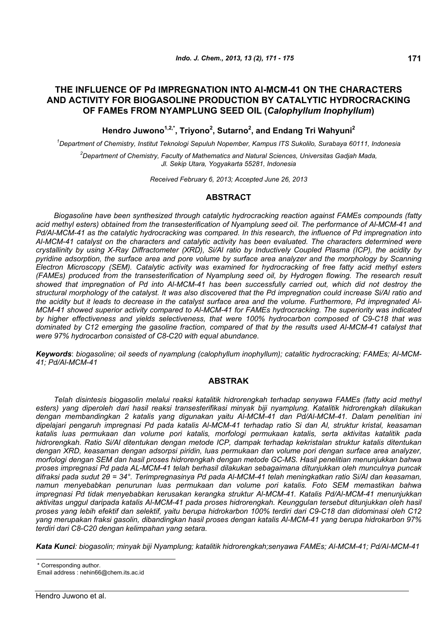# **THE INFLUENCE OF Pd IMPREGNATION INTO Al-MCM-41 ON THE CHARACTERS AND ACTIVITY FOR BIOGASOLINE PRODUCTION BY CATALYTIC HYDROCRACKING OF FAMEs FROM NYAMPLUNG SEED OIL (***Calophyllum Inophyllum***)**

# **Hendro Juwono1,2,\*, Triyono2 , Sutarno<sup>2</sup> , and Endang Tri Wahyuni2**

*1 Department of Chemistry, Institut Teknologi Sepuluh Nopember, Kampus ITS Sukolilo, Surabaya 60111, Indonesia* 

*2 Department of Chemistry, Faculty of Mathematics and Natural Sciences, Universitas Gadjah Mada, Jl. Sekip Utara, Yogyakarta 55281, Indonesia*

*Received February 6, 2013; Accepted June 26, 2013* 

## **ABSTRACT**

*Biogasoline have been synthesized through catalytic hydrocracking reaction against FAMEs compounds (fatty acid methyl esters) obtained from the transesterification of Nyamplung seed oil. The performance of Al-MCM-41 and Pd/Al-MCM-41 as the catalytic hydrocracking was compared. In this research, the influence of Pd impregnation into Al-MCM-41 catalyst on the characters and catalytic activity has been evaluated. The characters determined were crystallinity by using X-Ray Diffractometer (XRD), Si/Al ratio by Inductively Coupled Plasma (ICP), the acidity by pyridine adsorption, the surface area and pore volume by surface area analyzer and the morphology by Scanning Electron Microscopy (SEM). Catalytic activity was examined for hydrocracking of free fatty acid methyl esters (FAMEs) produced from the transesterification of Nyamplung seed oil, by Hydrogen flowing. The research result showed that impregnation of Pd into Al-MCM-41 has been successfully carried out, which did not destroy the structural morphology of the catalyst. It was also discovered that the Pd impregnation could increase Si/Al ratio and the acidity but it leads to decrease in the catalyst surface area and the volume. Furthermore, Pd impregnated Al-MCM-41 showed superior activity compared to Al-MCM-41 for FAMEs hydrocracking. The superiority was indicated by higher effectiveness and yields selectiveness, that were 100% hydrocarbon composed of C9-C18 that was dominated by C12 emerging the gasoline fraction, compared of that by the results used Al-MCM-41 catalyst that were 97% hydrocarbon consisted of C8-C20 with equal abundance.* 

*Keywords*: *biogasoline; oil seeds of nyamplung (calophyllum inophyllum); catalitic hydrocracking; FAMEs; Al-MCM-41; Pd/Al-MCM-41* 

## **ABSTRAK**

*Telah disintesis biogasolin melalui reaksi katalitik hidrorengkah terhadap senyawa FAMEs (fatty acid methyl esters) yang diperoleh dari hasil reaksi transesterifikasi minyak biji nyamplung. Katalitik hidrorengkah dilakukan dengan membandingkan 2 katalis yang digunakan yaitu Al-MCM-41 dan Pd/Al-MCM-41. Dalam penelitian ini dipelajari pengaruh impregnasi Pd pada katalis Al-MCM-41 terhadap ratio Si dan Al, struktur kristal, keasaman katalis luas permukaan dan volume pori katalis, morfologi permukaan katalis, serta aktivitas katalitik pada hidrorengkah. Ratio Si/Al ditentukan dengan metode ICP, dampak terhadap kekristalan struktur katalis ditentukan dengan XRD, keasaman dengan adsorpsi piridin, luas permukaan dan volume pori dengan surface area analyzer, morfologi dengan SEM dan hasil proses hidrorengkah dengan metode GC-MS. Hasil penelitian menunjukkan bahwa proses impregnasi Pd pada AL-MCM-41 telah berhasil dilakukan sebagaimana ditunjukkan oleh munculnya puncak difraksi pada sudut 2θ = 34°. Terimpregnasinya Pd pada Al-MCM-41 telah meningkatkan ratio Si/Al dan keasaman, namun menyebabkan penurunan luas permukaan dan volume pori katalis. Foto SEM memastikan bahwa impregnasi Pd tidak menyebabkan kerusakan kerangka struktur Al-MCM-41. Katalis Pd/Al-MCM-41 menunjukkan aktivitas unggul daripada katalis Al-MCM-41 pada proses hidrorengkah. Keunggulan tersebut ditunjukkan oleh hasil proses yang lebih efektif dan selektif, yaitu berupa hidrokarbon 100% terdiri dari C9-C18 dan didominasi oleh C12 yang merupakan fraksi gasolin, dibandingkan hasil proses dengan katalis Al-MCM-41 yang berupa hidrokarbon 97% terdiri dari C8-C20 dengan kelimpahan yang setara.* 

*Kata Kunci: biogasolin; minyak biji Nyamplung; katalitik hidrorengkah;senyawa FAMEs; Al-MCM-41; Pd/Al-MCM-41* 

Corresponding author.

Email address : nehin66@chem.its.ac.id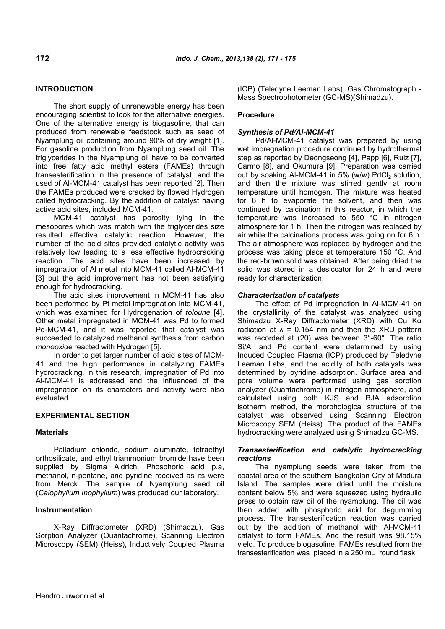## **INTRODUCTION**

The short supply of unrenewable energy has been encouraging scientist to look for the alternative energies. One of the alternative energy is biogasoline, that can produced from renewable feedstock such as seed of Nyamplung oil containing around 90% of dry weight [1]. For gasoline production from Nyamplung seed oil. The triglycerides in the Nyamplung oil have to be converted into free fatty acid methyl esters (FAMEs) through transesterification in the presence of catalyst, and the used of Al-MCM-41 catalyst has been reported [2]. Then the FAMEs produced were cracked by flowed Hydrogen called hydrocracking. By the addition of catalyst having active acid sites, included MCM-41.

MCM-41 catalyst has porosity lying in the mesopores which was match with the triglycerides size resulted effective catalytic reaction. However, the number of the acid sites provided catalytic activity was relatively low leading to a less effective hydrocracking reaction. The acid sites have been increased by impregnation of Al metal into MCM-41 called Al-MCM-41 [3] but the acid improvement has not been satisfying enough for hydrocracking.

The acid sites improvement in MCM-41 has also been performed by Pt metal impregnation into MCM-41, which was examined for Hydrogenation of *toloune* [4]. Other metal impregnated in MCM-41 was Pd to formed Pd-MCM-41, and it was reported that catalyst was succeeded to catalyzed methanol synthesis from carbon *monooxide* reacted with Hydrogen [5].

In order to get larger number of acid sites of MCM-41 and the high performance in catalyzing FAMEs hydrocracking, in this research, impregnation of Pd into Al-MCM-41 is addressed and the influenced of the impregnation on its characters and activity were also evaluated.

#### **EXPERIMENTAL SECTION**

#### **Materials**

Palladium chloride, sodium aluminate, tetraethyl orthosilicate, and ethyl triammonium bromide have been supplied by Sigma Aldrich. Phosphoric acid p.a, methanol, n-pentane, and pyridine received as its were from Merck. The sample of Nyamplung seed oil (*Calophyllum Inophyllum*) was produced our laboratory.

## **Instrumentation**

X-Ray Diffractometer (XRD) (Shimadzu), Gas Sorption Analyzer (Quantachrome), Scanning Electron Microscopy (SEM) (Heiss), Inductively Coupled Plasma (ICP) (Teledyne Leeman Labs), Gas Chromatograph - Mass Spectrophotometer (GC-MS)(Shimadzu).

### **Procedure**

### *Synthesis of Pd/Al-MCM-41*

Pd/Al-MCM-41 catalyst was prepared by using wet impregnation procedure continued by hydrothermal step as reported by Deongseong [4], Papp [6], Ruiz [7], Carmo [8], and Okumura [9]. Preparation was carried out by soaking Al-MCM-41 in 5% (w/w)  $PdCl<sub>2</sub>$  solution, and then the mixture was stirred gently at room temperature until homogen. The mixture was heated for 6 h to evaporate the solvent, and then was continued by calcination in this reactor, in which the temperature was increased to 550 °C in nitrogen atmosphere for 1 h. Then the nitrogen was replaced by air while the calcinations process was going on for 6 h. The air atmosphere was replaced by hydrogen and the process was taking place at temperature 150 °C. And the red-brown solid was obtained. After being dried the solid was stored in a desiccator for 24 h and were ready for characterization.

### *Characterization of catalysts*

The effect of Pd impregnation in Al-MCM-41 on the crystallinity of the catalyst was analyzed using Shimadzu X-Ray Diffractometer (XRD) with Cu Kα radiation at  $\lambda = 0.154$  nm and then the XRD pattern was recorded at (2θ) was between 3°-60°. The ratio Si/Al and Pd content were determined by using Induced Coupled Plasma (ICP) produced by Teledyne Leeman Labs, and the acidity of both catalysts was determined by pyridine adsorption. Surface area and pore volume were performed using gas sorption analyzer (Quantachrome) in nitrogen atmosphere, and calculated using both KJS and BJA adsorption isotherm method, the morphological structure of the catalyst was observed using Scanning Electron Microscopy SEM (Heiss). The product of the FAMEs hydrocracking were analyzed using Shimadzu GC-MS.

#### *Transesterification and catalytic hydrocracking reactions*

The nyamplung seeds were taken from the coastal area of the southern Bangkalan City of Madura Island. The samples were dried until the moisture content below 5% and were squeezed using hydraulic press to obtain raw oil of the nyamplung. The oil was then added with phosphoric acid for degumming process. The transesterification reaction was carried out by the addition of methanol with Al-MCM-41 catalyst to form FAMEs. And the result was 98.15% yield. To produce biogasoline, FAMEs resulted from the transesterification was placed in a 250 mL round flask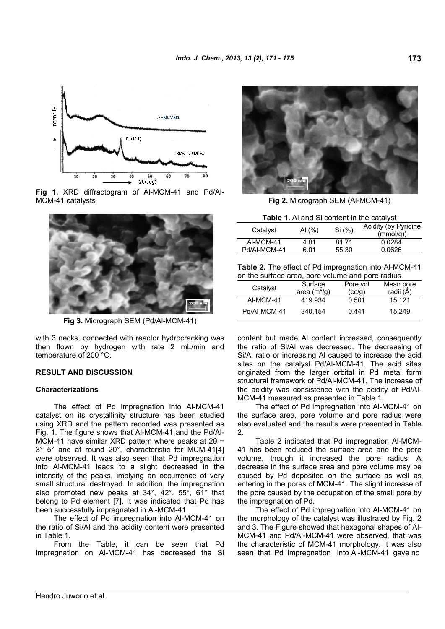

**Fig 1.** XRD diffractogram of Al-MCM-41 and Pd/Al-MCM-41 catalysts **Fig 2.** Micrograph SEM (Al-MCM-41)



**Fig 3.** Micrograph SEM (Pd/Al-MCM-41)

with 3 necks, connected with reactor hydrocracking was then flown by hydrogen with rate 2 mL/min and temperature of 200 °C.

## **RESULT AND DISCUSSION**

## **Characterizations**

The effect of Pd impregnation into Al-MCM-41 catalyst on its crystallinity structure has been studied using XRD and the pattern recorded was presented as Fig. 1. The figure shows that Al-MCM-41 and the Pd/Al-MCM-41 have similar XRD pattern where peaks at 2θ = 3°–5° and at round 20°, characteristic for MCM-41[4] were observed. It was also seen that Pd impregnation into Al-MCM-41 leads to a slight decreased in the intensity of the peaks, implying an occurrence of very small structural destroyed. In addition, the impregnation also promoted new peaks at 34°, 42°, 55°, 61° that belong to Pd element [7]. It was indicated that Pd has been successfully impregnated in Al-MCM-41.

The effect of Pd impregnation into Al-MCM-41 on the ratio of Si/Al and the acidity content were presented in Table 1.

From the Table, it can be seen that Pd impregnation on Al-MCM-41 has decreased the Si



#### **Table 1.** Al and Si content in the catalyst

| Catalyst     | AI (%) | Si (%) | Acidity (by Pyridine<br>(mmol/g) |
|--------------|--------|--------|----------------------------------|
| AI-MCM-41    | 4.81   | 81.71  | 0.0284                           |
| Pd/Al-MCM-41 | 6.01   | 55.30  | 0.0626                           |

**Table 2.** The effect of Pd impregnation into Al-MCM-41 on the surface area, pore volume and pore radius

| on the canade area, pore volume and pore radial |                |          |           |  |
|-------------------------------------------------|----------------|----------|-----------|--|
| Catalyst                                        | Surface        | Pore vol | Mean pore |  |
|                                                 | area $(m^2/g)$ | (cc/q)   | radii (Å) |  |
| AI-MCM-41                                       | 419.934        | 0.501    | 15.121    |  |
| Pd/AI-MCM-41                                    | 340.154        | 0.441    | 15.249    |  |

content but made Al content increased, consequently the ratio of Si/Al was decreased. The decreasing of Si/Al ratio or increasing Al caused to increase the acid sites on the catalyst Pd/Al-MCM-41. The acid sites originated from the larger orbital in Pd metal form structural framework of Pd/Al-MCM-41. The increase of the acidity was consistence with the acidity of Pd/Al-MCM-41 measured as presented in Table 1.

The effect of Pd impregnation into Al-MCM-41 on the surface area, pore volume and pore radius were also evaluated and the results were presented in Table  $\mathcal{P}$ 

Table 2 indicated that Pd impregnation Al-MCM-41 has been reduced the surface area and the pore volume, though it increased the pore radius. A decrease in the surface area and pore volume may be caused by Pd deposited on the surface as well as entering in the pores of MCM-41. The slight increase of the pore caused by the occupation of the small pore by the impregnation of Pd.

The effect of Pd impregnation into Al-MCM-41 on the morphology of the catalyst was illustrated by Fig. 2 and 3. The Figure showed that hexagonal shapes of Al-MCM-41 and Pd/Al-MCM-41 were observed, that was the characteristic of MCM-41 morphology. It was also seen that Pd impregnation into Al-MCM-41 gave no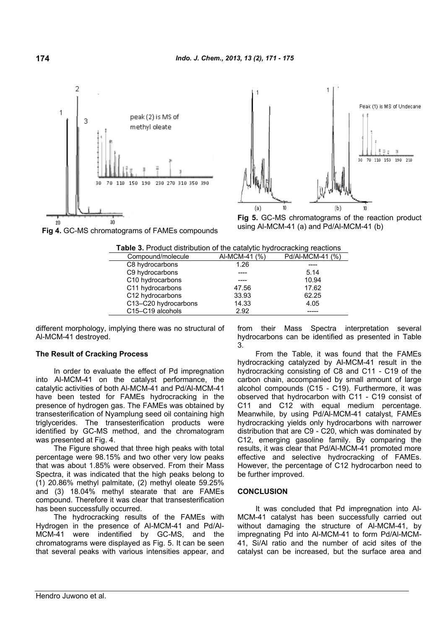



**Fig 5.** GC-MS chromatograms of the reaction product using Al-MCM-41 (a) and Pd/Al-MCM-41 (b)



| <b>Table 3.</b> Product distribution of the catalytic hydrocracking reactions |               |                  |  |  |
|-------------------------------------------------------------------------------|---------------|------------------|--|--|
| Compound/molecule                                                             | AI-MCM-41 (%) | Pd/Al-MCM-41 (%) |  |  |
| C8 hydrocarbons                                                               | 1.26          |                  |  |  |
| C9 hydrocarbons                                                               |               | 5.14             |  |  |
| C10 hydrocarbons                                                              |               | 10.94            |  |  |
| C11 hydrocarbons                                                              | 47.56         | 17.62            |  |  |
| C12 hydrocarbons                                                              | 33.93         | 62.25            |  |  |
| C13-C20 hydrocarbons                                                          | 14.33         | 4.05             |  |  |
| C15-C19 alcohols                                                              | 2.92          |                  |  |  |
|                                                                               |               |                  |  |  |

different morphology, implying there was no structural of Al-MCM-41 destroyed.

## **The Result of Cracking Process**

In order to evaluate the effect of Pd impregnation into Al-MCM-41 on the catalyst performance, the catalytic activities of both Al-MCM-41 and Pd/Al-MCM-41 have been tested for FAMEs hydrocracking in the presence of hydrogen gas. The FAMEs was obtained by transesterification of Nyamplung seed oil containing high triglycerides. The transesterification products were identified by GC-MS method, and the chromatogram was presented at Fig. 4.

The Figure showed that three high peaks with total percentage were 98.15% and two other very low peaks that was about 1.85% were observed. From their Mass Spectra, it was indicated that the high peaks belong to (1) 20.86% methyl palmitate, (2) methyl oleate 59.25% and (3) 18.04% methyl stearate that are FAMEs compound. Therefore it was clear that transesterification has been successfully occurred.

The hydrocracking results of the FAMEs with Hydrogen in the presence of Al-MCM-41 and Pd/Al-MCM-41 were indentified by GC-MS, and the chromatograms were displayed as Fig. 5. It can be seen that several peaks with various intensities appear, and

from their Mass Spectra interpretation several hydrocarbons can be identified as presented in Table 3.

From the Table, it was found that the FAMEs hydrocracking catalyzed by Al-MCM-41 result in the hydrocracking consisting of C8 and C11 - C19 of the carbon chain, accompanied by small amount of large alcohol compounds (C15 - C19). Furthermore, it was observed that hydrocarbon with C11 - C19 consist of C11 and C12 with equal medium percentage. Meanwhile, by using Pd/Al-MCM-41 catalyst, FAMEs hydrocracking yields only hydrocarbons with narrower distribution that are C9 - C20, which was dominated by C12, emerging gasoline family. By comparing the results, it was clear that Pd/Al-MCM-41 promoted more effective and selective hydrocracking of FAMEs. However, the percentage of C12 hydrocarbon need to be further improved.

#### **CONCLUSION**

It was concluded that Pd impregnation into Al-MCM-41 catalyst has been successfully carried out without damaging the structure of Al-MCM-41, by impregnating Pd into Al-MCM-41 to form Pd/Al-MCM-41, Si/Al ratio and the number of acid sites of the catalyst can be increased, but the surface area and